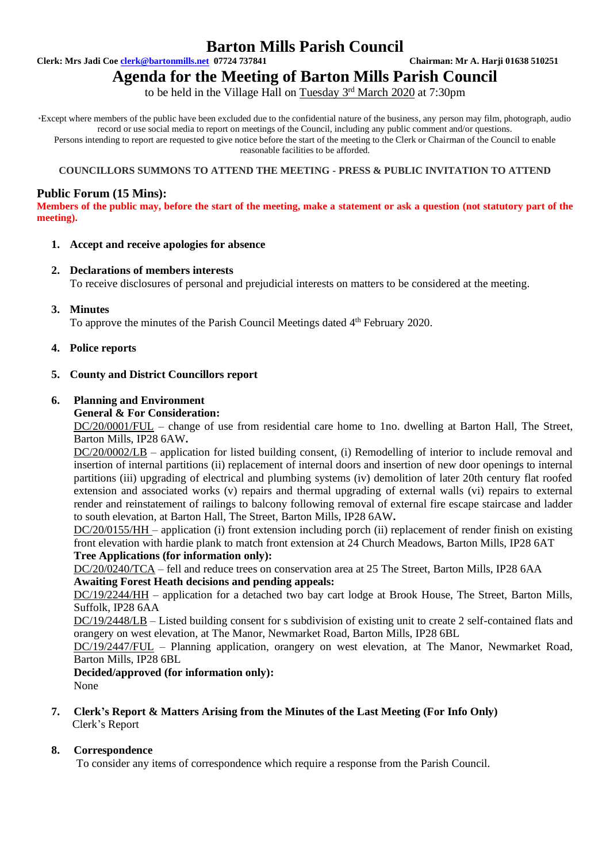# **Barton Mills Parish Council**

**Clerk: Mrs Jadi Coe [clerk@bartonmills.net](mailto:clerk@bartonmills.net) 07724 737841 Chairman: Mr A. Harji 01638 510251**

# **Agenda for the Meeting of Barton Mills Parish Council**

to be held in the Village Hall on Tuesday 3<sup>rd</sup> March 2020 at 7:30pm

\*Except where members of the public have been excluded due to the confidential nature of the business, any person may film, photograph, audio record or use social media to report on meetings of the Council, including any public comment and/or questions. Persons intending to report are requested to give notice before the start of the meeting to the Clerk or Chairman of the Council to enable reasonable facilities to be afforded.

#### **COUNCILLORS SUMMONS TO ATTEND THE MEETING - PRESS & PUBLIC INVITATION TO ATTEND**

# **Public Forum (15 Mins):**

**Members of the public may, before the start of the meeting, make a statement or ask a question (not statutory part of the meeting).**

#### **1. Accept and receive apologies for absence**

#### **2. Declarations of members interests**

To receive disclosures of personal and prejudicial interests on matters to be considered at the meeting.

**3. Minutes**

To approve the minutes of the Parish Council Meetings dated 4<sup>th</sup> February 2020.

**4. Police reports**

# **5. County and District Councillors report**

#### **6. Planning and Environment**

**General & For Consideration:**

DC/20/0001/FUL – change of use from residential care home to 1no. dwelling at Barton Hall, The Street, Barton Mills, IP28 6AW**.**

DC/20/0002/LB – application for listed building consent, (i) Remodelling of interior to include removal and insertion of internal partitions (ii) replacement of internal doors and insertion of new door openings to internal partitions (iii) upgrading of electrical and plumbing systems (iv) demolition of later 20th century flat roofed extension and associated works (v) repairs and thermal upgrading of external walls (vi) repairs to external render and reinstatement of railings to balcony following removal of external fire escape staircase and ladder to south elevation, at Barton Hall, The Street, Barton Mills, IP28 6AW**.**

DC/20/0155/HH – application (i) front extension including porch (ii) replacement of render finish on existing front elevation with hardie plank to match front extension at 24 Church Meadows, Barton Mills, IP28 6AT **Tree Applications (for information only):**

DC/20/0240/TCA – fell and reduce trees on conservation area at 25 The Street, Barton Mills, IP28 6AA **Awaiting Forest Heath decisions and pending appeals:**

DC/19/2244/HH – application for a detached two bay cart lodge at Brook House, The Street, Barton Mills, Suffolk, IP28 6AA

DC/19/2448/LB – Listed building consent for s subdivision of existing unit to create 2 self-contained flats and orangery on west elevation, at The Manor, Newmarket Road, Barton Mills, IP28 6BL

DC/19/2447/FUL – Planning application, orangery on west elevation, at The Manor, Newmarket Road, Barton Mills, IP28 6BL

#### **Decided/approved (for information only):** None

#### **7. Clerk's Report & Matters Arising from the Minutes of the Last Meeting (For Info Only)** Clerk's Report

# **8. Correspondence**

To consider any items of correspondence which require a response from the Parish Council.